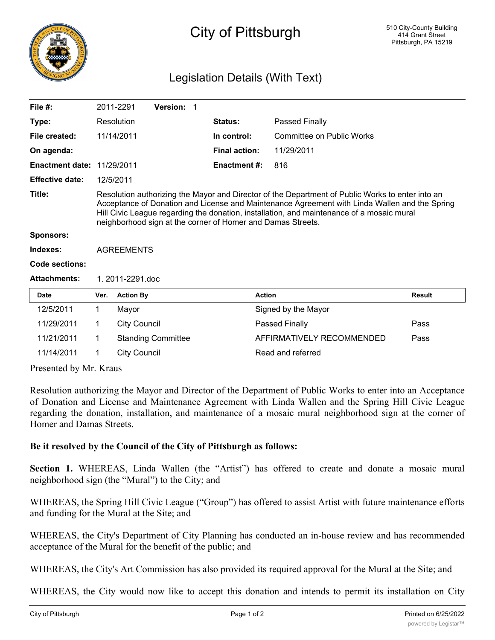

## City of Pittsburgh

## Legislation Details (With Text)

| File $#$ :                        |                                                                                                                                                                                                                                                                                                                                                               | 2011-2291           | Version: 1                |  |                      |                           |               |
|-----------------------------------|---------------------------------------------------------------------------------------------------------------------------------------------------------------------------------------------------------------------------------------------------------------------------------------------------------------------------------------------------------------|---------------------|---------------------------|--|----------------------|---------------------------|---------------|
| Type:                             |                                                                                                                                                                                                                                                                                                                                                               | Resolution          |                           |  | <b>Status:</b>       | Passed Finally            |               |
| File created:                     |                                                                                                                                                                                                                                                                                                                                                               | 11/14/2011          |                           |  | In control:          | Committee on Public Works |               |
| On agenda:                        |                                                                                                                                                                                                                                                                                                                                                               |                     |                           |  | <b>Final action:</b> | 11/29/2011                |               |
| <b>Enactment date: 11/29/2011</b> |                                                                                                                                                                                                                                                                                                                                                               |                     |                           |  | <b>Enactment #:</b>  | 816                       |               |
| <b>Effective date:</b>            | 12/5/2011                                                                                                                                                                                                                                                                                                                                                     |                     |                           |  |                      |                           |               |
| Title:                            | Resolution authorizing the Mayor and Director of the Department of Public Works to enter into an<br>Acceptance of Donation and License and Maintenance Agreement with Linda Wallen and the Spring<br>Hill Civic League regarding the donation, installation, and maintenance of a mosaic mural<br>neighborhood sign at the corner of Homer and Damas Streets. |                     |                           |  |                      |                           |               |
| <b>Sponsors:</b>                  |                                                                                                                                                                                                                                                                                                                                                               |                     |                           |  |                      |                           |               |
| Indexes:                          | <b>AGREEMENTS</b>                                                                                                                                                                                                                                                                                                                                             |                     |                           |  |                      |                           |               |
| Code sections:                    |                                                                                                                                                                                                                                                                                                                                                               |                     |                           |  |                      |                           |               |
| <b>Attachments:</b>               | 1.2011-2291.doc                                                                                                                                                                                                                                                                                                                                               |                     |                           |  |                      |                           |               |
| Date                              | Ver.                                                                                                                                                                                                                                                                                                                                                          | <b>Action By</b>    |                           |  | <b>Action</b>        |                           | <b>Result</b> |
| 12/5/2011                         | 1                                                                                                                                                                                                                                                                                                                                                             | Mayor               |                           |  |                      | Signed by the Mayor       |               |
| 11/29/2011                        | 1                                                                                                                                                                                                                                                                                                                                                             | <b>City Council</b> |                           |  |                      | Passed Finally            | Pass          |
| 11/21/2011                        | 1                                                                                                                                                                                                                                                                                                                                                             |                     | <b>Standing Committee</b> |  |                      | AFFIRMATIVELY RECOMMENDED | Pass          |

Presented by Mr. Kraus

Resolution authorizing the Mayor and Director of the Department of Public Works to enter into an Acceptance of Donation and License and Maintenance Agreement with Linda Wallen and the Spring Hill Civic League regarding the donation, installation, and maintenance of a mosaic mural neighborhood sign at the corner of Homer and Damas Streets.

## **Be it resolved by the Council of the City of Pittsburgh as follows:**

11/14/2011 1 City Council Read and referred

**Section 1.** WHEREAS, Linda Wallen (the "Artist") has offered to create and donate a mosaic mural neighborhood sign (the "Mural") to the City; and

WHEREAS, the Spring Hill Civic League ("Group") has offered to assist Artist with future maintenance efforts and funding for the Mural at the Site; and

WHEREAS, the City's Department of City Planning has conducted an in-house review and has recommended acceptance of the Mural for the benefit of the public; and

WHEREAS, the City's Art Commission has also provided its required approval for the Mural at the Site; and

WHEREAS, the City would now like to accept this donation and intends to permit its installation on City